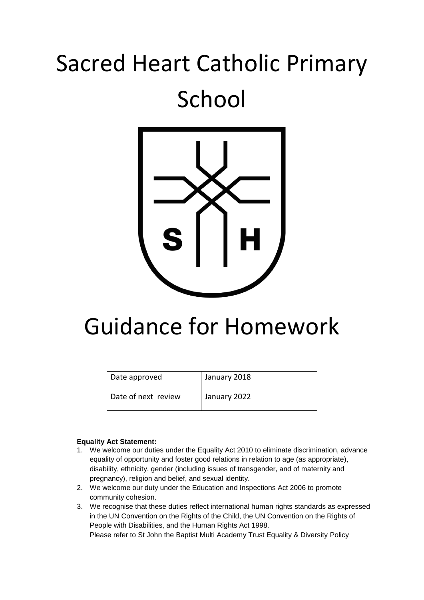# Sacred Heart Catholic Primary School



# Guidance for Homework

| Date approved       | January 2018 |
|---------------------|--------------|
| Date of next review | January 2022 |

#### **Equality Act Statement:**

- 1. We welcome our duties under the Equality Act 2010 to eliminate discrimination, advance equality of opportunity and foster good relations in relation to age (as appropriate), disability, ethnicity, gender (including issues of transgender, and of maternity and pregnancy), religion and belief, and sexual identity.
- 2. We welcome our duty under the Education and Inspections Act 2006 to promote community cohesion.
- 3. We recognise that these duties reflect international human rights standards as expressed in the UN Convention on the Rights of the Child, the UN Convention on the Rights of People with Disabilities, and the Human Rights Act 1998. Please refer to St John the Baptist Multi Academy Trust Equality & Diversity Policy